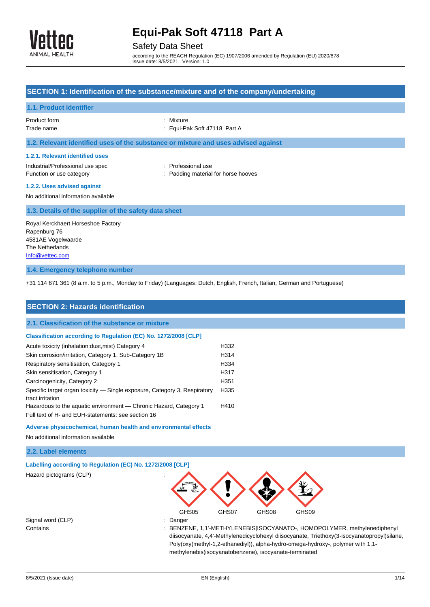

# Safety Data Sheet

according to the REACH Regulation (EC) 1907/2006 amended by Regulation (EU) 2020/878 Issue date: 8/5/2021 Version: 1.0

|                                                                                                                                                                                                                                | SECTION 1: Identification of the substance/mixture and of the company/undertaking  |
|--------------------------------------------------------------------------------------------------------------------------------------------------------------------------------------------------------------------------------|------------------------------------------------------------------------------------|
| <b>1.1. Product identifier</b>                                                                                                                                                                                                 |                                                                                    |
| Product form<br>Trade name                                                                                                                                                                                                     | : Mixture<br>Equi-Pak Soft 47118 Part A                                            |
|                                                                                                                                                                                                                                | 1.2. Relevant identified uses of the substance or mixture and uses advised against |
| 1.2.1. Relevant identified uses<br>Industrial/Professional use spec<br>Function or use category<br>1.2.2. Uses advised against<br>No additional information available<br>1.3. Details of the supplier of the safety data sheet | : Professional use<br>Padding material for horse hooves                            |
| Royal Kerckhaert Horseshoe Factory<br>Rapenburg 76<br>4581AE Vogelwaarde<br>The Netherlands<br>Info@vettec.com                                                                                                                 |                                                                                    |
| 1.4. Emergency telephone number                                                                                                                                                                                                |                                                                                    |

+31 114 671 361 (8 a.m. to 5 p.m., Monday to Friday) (Languages: Dutch, English, French, Italian, German and Portuguese)

| <b>SECTION 2: Hazards identification</b>                                                                                |                  |
|-------------------------------------------------------------------------------------------------------------------------|------------------|
| 2.1. Classification of the substance or mixture                                                                         |                  |
| Classification according to Regulation (EC) No. 1272/2008 [CLP]                                                         |                  |
| Acute toxicity (inhalation: dust, mist) Category 4                                                                      | H332             |
| Skin corrosion/irritation, Category 1, Sub-Category 1B                                                                  | H314             |
| Respiratory sensitisation, Category 1                                                                                   | H334             |
| Skin sensitisation, Category 1                                                                                          | H317             |
| Carcinogenicity, Category 2                                                                                             | H351             |
| Specific target organ toxicity — Single exposure, Category 3, Respiratory<br>tract irritation                           | H <sub>335</sub> |
| Hazardous to the aquatic environment — Chronic Hazard, Category 1<br>Full text of H- and EUH-statements: see section 16 | H410             |
| Adverse physicochemical, human health and environmental effects<br>No additional information available                  |                  |

### **2.2. Label elements**

| Labelling according to Regulation (EC) No. 1272/2008 [CLP] |             |       |       |       |                                                                                                                                                                         |
|------------------------------------------------------------|-------------|-------|-------|-------|-------------------------------------------------------------------------------------------------------------------------------------------------------------------------|
| Hazard pictograms (CLP)                                    |             |       |       |       |                                                                                                                                                                         |
|                                                            | GHS05       | GHS07 | GHS08 | GHS09 |                                                                                                                                                                         |
| Signal word (CLP)                                          | Danger<br>÷ |       |       |       |                                                                                                                                                                         |
| Contains                                                   |             |       |       |       | : BENZENE, 1,1'-METHYLENEBIS[ISOCYANATO-, HOMOPOLYMER, methylenediphenyl<br>diisocyanate, 4,4'-Methylenedicyclohexyl diisocyanate, Triethoxy(3-isocyanatopropyl)silane, |

Poly(oxy(methyl-1,2-ethanediyl)), alpha-hydro-omega-hydroxy-, polymer with 1,1-

methylenebis(isocyanatobenzene), isocyanate-terminated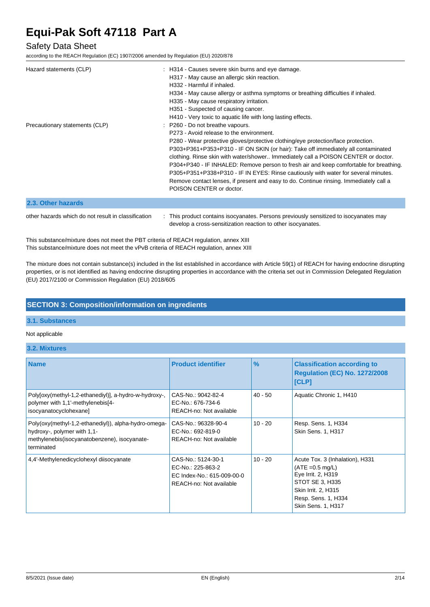## Safety Data Sheet

according to the REACH Regulation (EC) 1907/2006 amended by Regulation (EU) 2020/878

| Hazard statements (CLP)                             | : H314 - Causes severe skin burns and eye damage.<br>H317 - May cause an allergic skin reaction.<br>H332 - Harmful if inhaled.<br>H334 - May cause allergy or asthma symptoms or breathing difficulties if inhaled.<br>H335 - May cause respiratory irritation.<br>H351 - Suspected of causing cancer.<br>H410 - Very toxic to aquatic life with long lasting effects.                                                                                                                                                                                                                                                                             |
|-----------------------------------------------------|----------------------------------------------------------------------------------------------------------------------------------------------------------------------------------------------------------------------------------------------------------------------------------------------------------------------------------------------------------------------------------------------------------------------------------------------------------------------------------------------------------------------------------------------------------------------------------------------------------------------------------------------------|
| Precautionary statements (CLP)                      | : P260 - Do not breathe vapours.<br>P273 - Avoid release to the environment.<br>P280 - Wear protective gloves/protective clothing/eye protection/face protection.<br>P303+P361+P353+P310 - IF ON SKIN (or hair): Take off immediately all contaminated<br>clothing. Rinse skin with water/shower Immediately call a POISON CENTER or doctor.<br>P304+P340 - IF INHALED: Remove person to fresh air and keep comfortable for breathing.<br>P305+P351+P338+P310 - IF IN EYES: Rinse cautiously with water for several minutes.<br>Remove contact lenses, if present and easy to do. Continue rinsing. Immediately call a<br>POISON CENTER or doctor. |
| 2.3. Other hazards                                  |                                                                                                                                                                                                                                                                                                                                                                                                                                                                                                                                                                                                                                                    |
| other hazards which do not result in classification | This product contains isocyanates. Persons previously sensitized to isocyanates may                                                                                                                                                                                                                                                                                                                                                                                                                                                                                                                                                                |

This substance/mixture does not meet the PBT criteria of REACH regulation, annex XIII This substance/mixture does not meet the vPvB criteria of REACH regulation, annex XIII

The mixture does not contain substance(s) included in the list established in accordance with Article 59(1) of REACH for having endocrine disrupting properties, or is not identified as having endocrine disrupting properties in accordance with the criteria set out in Commission Delegated Regulation (EU) 2017/2100 or Commission Regulation (EU) 2018/605

develop a cross-sensitization reaction to other isocyanates.

### **SECTION 3: Composition/information on ingredients**

### **3.1. Substances**

### Not applicable

#### **3.2. Mixtures**

| <b>Name</b>                                                                                                                                        | <b>Product identifier</b>                                                                        | $\frac{9}{6}$ | <b>Classification according to</b><br><b>Regulation (EC) No. 1272/2008</b><br>[CLP]                                                                                       |
|----------------------------------------------------------------------------------------------------------------------------------------------------|--------------------------------------------------------------------------------------------------|---------------|---------------------------------------------------------------------------------------------------------------------------------------------------------------------------|
| Poly[oxy(methyl-1,2-ethanediyl)], a-hydro-w-hydroxy-,<br>polymer with 1,1'-methylenebis[4-<br>isocyanatocyclohexane]                               | CAS-No.: 9042-82-4<br>EC-No.: 676-734-6<br>REACH-no: Not available                               | $40 - 50$     | Aquatic Chronic 1, H410                                                                                                                                                   |
| Poly(oxy(methyl-1,2-ethanediyl)), alpha-hydro-omega-<br>hydroxy-, polymer with 1,1-<br>methylenebis (isocyanatobenzene), isocyanate-<br>terminated | CAS-No.: 96328-90-4<br>EC-No.: 692-819-0<br>REACH-no: Not available                              | $10 - 20$     | Resp. Sens. 1, H334<br><b>Skin Sens. 1, H317</b>                                                                                                                          |
| 4,4'-Methylenedicyclohexyl diisocyanate                                                                                                            | CAS-No.: 5124-30-1<br>EC-No.: 225-863-2<br>EC Index-No.: 615-009-00-0<br>REACH-no: Not available | $10 - 20$     | Acute Tox. 3 (Inhalation), H331<br>$(ATE = 0.5 mg/L)$<br>Eye Irrit. 2, H319<br>STOT SE 3, H335<br>Skin Irrit. 2, H315<br>Resp. Sens. 1, H334<br><b>Skin Sens. 1, H317</b> |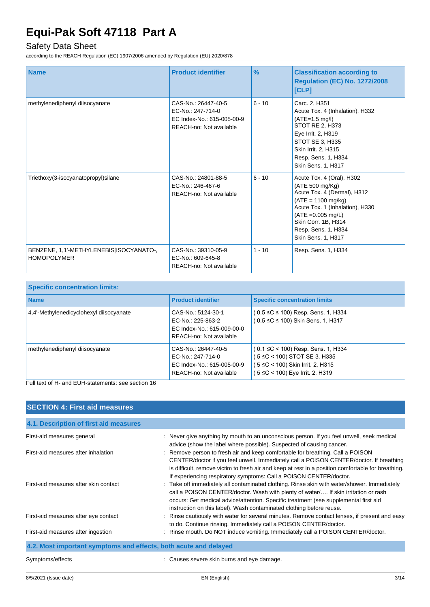# Safety Data Sheet

according to the REACH Regulation (EC) 1907/2006 amended by Regulation (EU) 2020/878

| <b>Name</b>                                                   | <b>Product identifier</b>                                                                         | $\frac{9}{6}$ | <b>Classification according to</b><br><b>Regulation (EC) No. 1272/2008</b><br>[CLP]                                                                                                                                                        |
|---------------------------------------------------------------|---------------------------------------------------------------------------------------------------|---------------|--------------------------------------------------------------------------------------------------------------------------------------------------------------------------------------------------------------------------------------------|
| methylenediphenyl diisocyanate                                | CAS-No.: 26447-40-5<br>EC-No.: 247-714-0<br>EC Index-No.: 615-005-00-9<br>REACH-no: Not available | $6 - 10$      | Carc. 2, H351<br>Acute Tox. 4 (Inhalation), H332<br>$(ATE=1.5 mg/l)$<br>STOT RE 2, H373<br>Eye Irrit. 2, H319<br>STOT SE 3. H335<br>Skin Irrit. 2, H315<br>Resp. Sens. 1, H334<br>Skin Sens. 1, H317                                       |
| Triethoxy(3-isocyanatopropyl)silane                           | CAS-No.: 24801-88-5<br>EC-No.: 246-467-6<br>REACH-no: Not available                               | $6 - 10$      | Acute Tox. 4 (Oral), H302<br>(ATE 500 mg/Kg)<br>Acute Tox. 4 (Dermal), H312<br>$(ATE = 1100 \text{ mg/kg})$<br>Acute Tox. 1 (Inhalation), H330<br>$(ATE = 0.005 mg/L)$<br>Skin Corr. 1B, H314<br>Resp. Sens. 1, H334<br>Skin Sens. 1, H317 |
| BENZENE, 1,1'-METHYLENEBIS[ISOCYANATO-,<br><b>HOMOPOLYMER</b> | CAS-No.: 39310-05-9<br>EC-No.: 609-645-8<br>REACH-no: Not available                               | $1 - 10$      | Resp. Sens. 1, H334                                                                                                                                                                                                                        |

| <b>Specific concentration limits:</b>   |                                                                                                   |                                                                                                                                                  |
|-----------------------------------------|---------------------------------------------------------------------------------------------------|--------------------------------------------------------------------------------------------------------------------------------------------------|
| <b>Name</b>                             | <b>Product identifier</b>                                                                         | <b>Specific concentration limits</b>                                                                                                             |
| 4,4'-Methylenedicyclohexyl diisocyanate | CAS-No.: 5124-30-1<br>EC-No.: 225-863-2<br>EC Index-No.: 615-009-00-0<br>REACH-no: Not available  | (0.5 ≤C ≤ 100) Resp. Sens. 1, H334<br>(0.5 ≤C ≤ 100) Skin Sens. 1, H317                                                                          |
| methylenediphenyl diisocyanate          | CAS-No.: 26447-40-5<br>EC-No.: 247-714-0<br>EC Index-No.: 615-005-00-9<br>REACH-no: Not available | $(0.1 \leq C < 100)$ Resp. Sens. 1, H334<br>5 ≤C < 100) STOT SE 3, H335<br>( 5 ≤C < 100) Skin Irrit. 2, H315<br>( 5 ≤C < 100) Eye Irrit. 2, H319 |

Full text of H- and EUH-statements: see section 16

| <b>SECTION 4: First aid measures</b>                             |                                                                                                                                                                                                                                                                                                                                                       |
|------------------------------------------------------------------|-------------------------------------------------------------------------------------------------------------------------------------------------------------------------------------------------------------------------------------------------------------------------------------------------------------------------------------------------------|
| 4.1. Description of first aid measures                           |                                                                                                                                                                                                                                                                                                                                                       |
| First-aid measures general                                       | : Never give anything by mouth to an unconscious person. If you feel unwell, seek medical<br>advice (show the label where possible). Suspected of causing cancer.                                                                                                                                                                                     |
| First-aid measures after inhalation                              | : Remove person to fresh air and keep comfortable for breathing. Call a POISON<br>CENTER/doctor if you feel unwell. Immediately call a POISON CENTER/doctor. If breathing<br>is difficult, remove victim to fresh air and keep at rest in a position comfortable for breathing.<br>If experiencing respiratory symptoms: Call a POISON CENTER/doctor. |
| First-aid measures after skin contact                            | : Take off immediately all contaminated clothing. Rinse skin with water/shower. Immediately<br>call a POISON CENTER/doctor. Wash with plenty of water/ If skin irritation or rash<br>occurs: Get medical advice/attention. Specific treatment (see supplemental first aid<br>instruction on this label). Wash contaminated clothing before reuse.     |
| First-aid measures after eye contact                             | Rinse cautiously with water for several minutes. Remove contact lenses, if present and easy<br>to do. Continue rinsing. Immediately call a POISON CENTER/doctor.                                                                                                                                                                                      |
| First-aid measures after ingestion                               | : Rinse mouth. Do NOT induce vomiting. Immediately call a POISON CENTER/doctor.                                                                                                                                                                                                                                                                       |
| 4.2. Most important symptoms and effects, both acute and delayed |                                                                                                                                                                                                                                                                                                                                                       |
| Symptoms/effects                                                 | Causes severe skin burns and eye damage.                                                                                                                                                                                                                                                                                                              |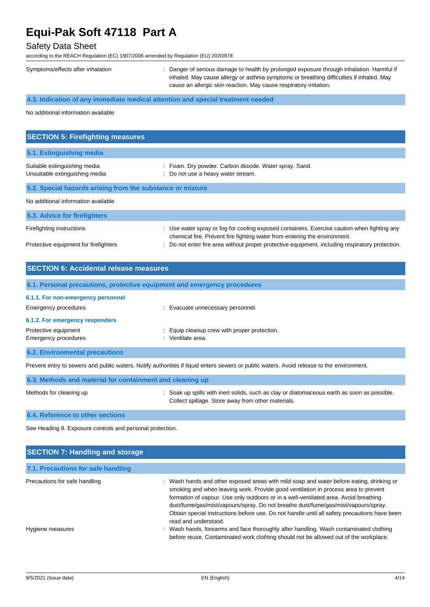## Safety Data Sheet

according to the REACH Regulation (EC) 1907/2006 amended by Regulation (EU) 2020/878

| Symptoms/effects after inhalation                                               | : Danger of serious damage to health by prolonged exposure through inhalation. Harmful if<br>inhaled. May cause allergy or asthma symptoms or breathing difficulties if inhaled. May<br>cause an allergic skin reaction. May cause respiratory irritation. |
|---------------------------------------------------------------------------------|------------------------------------------------------------------------------------------------------------------------------------------------------------------------------------------------------------------------------------------------------------|
| 4.3. Indication of any immediate medical attention and special treatment needed |                                                                                                                                                                                                                                                            |
| No additional information available                                             |                                                                                                                                                                                                                                                            |

| <b>SECTION 5: Firefighting measures</b>                        |                                                                                                                                                                                            |
|----------------------------------------------------------------|--------------------------------------------------------------------------------------------------------------------------------------------------------------------------------------------|
| 5.1. Extinguishing media                                       |                                                                                                                                                                                            |
| Suitable extinguishing media<br>Unsuitable extinguishing media | : Foam. Dry powder. Carbon dioxide. Water spray. Sand.<br>: Do not use a heavy water stream.                                                                                               |
| 5.2. Special hazards arising from the substance or mixture     |                                                                                                                                                                                            |
| No additional information available                            |                                                                                                                                                                                            |
| 5.3. Advice for firefighters                                   |                                                                                                                                                                                            |
| Firefighting instructions                                      | : Use water spray or fog for cooling exposed containers. Exercise caution when fighting any<br>ale and and flux. Description fluid fluid in contact forms and activities are described and |

chemical fire. Prevent fire fighting water from entering the environment. Protective equipment for firefighters : Do not enter fire area without proper protective equipment, including respiratory protection.

| <b>SECTION 6: Accidental release measures</b>              |                                                                          |  |
|------------------------------------------------------------|--------------------------------------------------------------------------|--|
|                                                            | 6.1. Personal precautions, protective equipment and emergency procedures |  |
| 6.1.1. For non-emergency personnel<br>Emergency procedures | : Evacuate unnecessary personnel.                                        |  |
| 6.1.2. For emergency responders                            |                                                                          |  |
| Protective equipment<br>Emergency procedures               | Equip cleanup crew with proper protection.<br>Ventilate area.            |  |
| <b>6.2. Environmental precautions</b>                      |                                                                          |  |

Prevent entry to sewers and public waters. Notify authorities if liquid enters sewers or public waters. Avoid release to the environment.

| 6.3. Methods and material for containment and cleaning up |                                                                                                                                                   |
|-----------------------------------------------------------|---------------------------------------------------------------------------------------------------------------------------------------------------|
| Methods for cleaning up                                   | : Soak up spills with inert solids, such as clay or diatomaceous earth as soon as possible.<br>Collect spillage. Store away from other materials. |
|                                                           |                                                                                                                                                   |

**6.4. Reference to other sections**

See Heading 8. Exposure controls and personal protection.

| <b>SECTION 7: Handling and storage</b> |                                                                                                                                                                                                                                                                                                                                                                                                                                                                                      |  |  |  |
|----------------------------------------|--------------------------------------------------------------------------------------------------------------------------------------------------------------------------------------------------------------------------------------------------------------------------------------------------------------------------------------------------------------------------------------------------------------------------------------------------------------------------------------|--|--|--|
| 7.1. Precautions for safe handling     |                                                                                                                                                                                                                                                                                                                                                                                                                                                                                      |  |  |  |
| Precautions for safe handling          | : Wash hands and other exposed areas with mild soap and water before eating, drinking or<br>smoking and when leaving work. Provide good ventilation in process area to prevent<br>formation of vapour. Use only outdoors or in a well-ventilated area. Avoid breathing<br>dust/fume/gas/mist/vapours/spray. Do not breathe dust/fume/gas/mist/vapours/spray.<br>Obtain special instructions before use. Do not handle until all safety precautions have been<br>read and understood. |  |  |  |
| Hygiene measures                       | : Wash hands, forearms and face thoroughly after handling. Wash contaminated clothing<br>before reuse. Contaminated work clothing should not be allowed out of the workplace.                                                                                                                                                                                                                                                                                                        |  |  |  |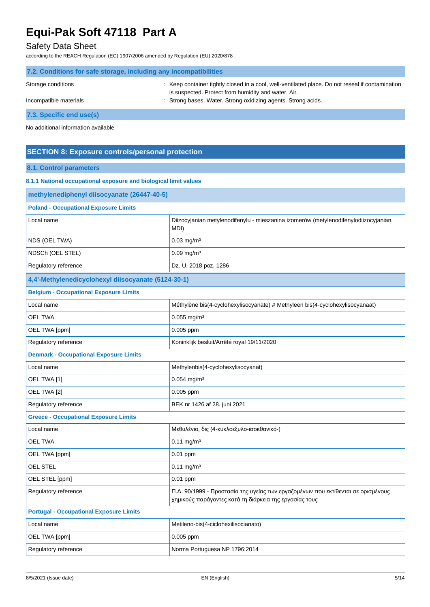# Safety Data Sheet

according to the REACH Regulation (EC) 1907/2006 amended by Regulation (EU) 2020/878

| 7.2. Conditions for safe storage, including any incompatibilities |                                                                                                                                                         |  |  |  |
|-------------------------------------------------------------------|---------------------------------------------------------------------------------------------------------------------------------------------------------|--|--|--|
| Storage conditions                                                | : Keep container tightly closed in a cool, well-ventilated place. Do not reseal if contamination<br>is suspected. Protect from humidity and water. Air. |  |  |  |
| Incompatible materials                                            | : Strong bases. Water. Strong oxidizing agents. Strong acids.                                                                                           |  |  |  |
| 7.3. Specific end use(s)                                          |                                                                                                                                                         |  |  |  |

No additional information available

## **SECTION 8: Exposure controls/personal protection**

## **8.1. Control parameters**

### **8.1.1 National occupational exposure and biological limit values**

| methylenediphenyl diisocyanate (26447-40-5)         |                                                                                                                                            |  |  |
|-----------------------------------------------------|--------------------------------------------------------------------------------------------------------------------------------------------|--|--|
| <b>Poland - Occupational Exposure Limits</b>        |                                                                                                                                            |  |  |
| Local name                                          | Diizocyjanian metylenodifenylu - mieszanina izomerów (metylenodifenylodiizocyjanian,<br>MDI)                                               |  |  |
| NDS (OEL TWA)                                       | $0.03$ mg/m <sup>3</sup>                                                                                                                   |  |  |
| NDSCh (OEL STEL)                                    | $0.09$ mg/m <sup>3</sup>                                                                                                                   |  |  |
| Regulatory reference                                | Dz. U. 2018 poz. 1286                                                                                                                      |  |  |
| 4,4'-Methylenedicyclohexyl diisocyanate (5124-30-1) |                                                                                                                                            |  |  |
| <b>Belgium - Occupational Exposure Limits</b>       |                                                                                                                                            |  |  |
| Local name                                          | Méthylène bis(4-cyclohexylisocyanate) # Methyleen bis(4-cyclohexylisocyanaat)                                                              |  |  |
| <b>OEL TWA</b>                                      | $0.055$ mg/m <sup>3</sup>                                                                                                                  |  |  |
| OEL TWA [ppm]                                       | $0.005$ ppm                                                                                                                                |  |  |
| Regulatory reference                                | Koninklijk besluit/Arrêté royal 19/11/2020                                                                                                 |  |  |
| <b>Denmark - Occupational Exposure Limits</b>       |                                                                                                                                            |  |  |
| Local name                                          | Methylenbis(4-cyclohexylisocyanat)                                                                                                         |  |  |
| OEL TWA [1]                                         | $0.054$ mg/m <sup>3</sup>                                                                                                                  |  |  |
| OEL TWA [2]                                         | 0.005 ppm                                                                                                                                  |  |  |
| Regulatory reference                                | BEK nr 1426 af 28. juni 2021                                                                                                               |  |  |
| <b>Greece - Occupational Exposure Limits</b>        |                                                                                                                                            |  |  |
| Local name                                          | Μεθυλένιο, δις (4-κυκλοεξυλο-ισοκθανικό-)                                                                                                  |  |  |
| <b>OEL TWA</b>                                      | $0.11 \text{ mg/m}^3$                                                                                                                      |  |  |
| OEL TWA [ppm]                                       | $0.01$ ppm                                                                                                                                 |  |  |
| <b>OEL STEL</b>                                     | $0.11$ mg/m <sup>3</sup>                                                                                                                   |  |  |
| OEL STEL [ppm]                                      | $0.01$ ppm                                                                                                                                 |  |  |
| Regulatory reference                                | Π.Δ. 90/1999 - Προστασία της υγείας των εργαζομένων που εκτίθενται σε ορισμένους<br>χημικούς παράγοντες κατά τη διάρκεια της εργασίας τους |  |  |
| <b>Portugal - Occupational Exposure Limits</b>      |                                                                                                                                            |  |  |
| Local name                                          | Metileno-bis(4-ciclohexilisocianato)                                                                                                       |  |  |
| OEL TWA [ppm]                                       | $0.005$ ppm                                                                                                                                |  |  |
| Regulatory reference                                | Norma Portuguesa NP 1796:2014                                                                                                              |  |  |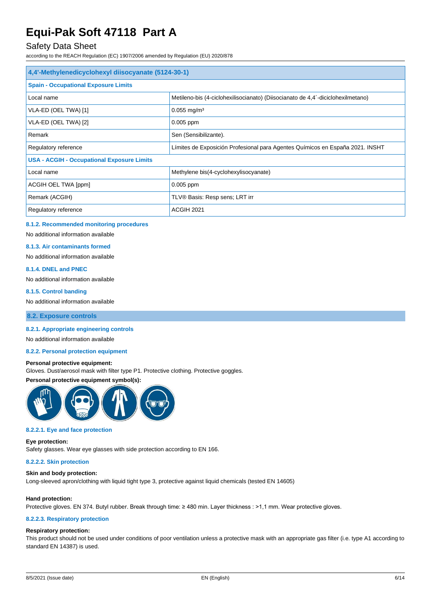## Safety Data Sheet

according to the REACH Regulation (EC) 1907/2006 amended by Regulation (EU) 2020/878

| 4,4'-Methylenedicyclohexyl diisocyanate (5124-30-1)                                                   |                                                                                 |  |  |
|-------------------------------------------------------------------------------------------------------|---------------------------------------------------------------------------------|--|--|
| <b>Spain - Occupational Exposure Limits</b>                                                           |                                                                                 |  |  |
| Local name                                                                                            | Metileno-bis (4-ciclohexilisocianato) (Diisocianato de 4,4'-diciclohexilmetano) |  |  |
| VLA-ED (OEL TWA) [1]                                                                                  | $0.055$ mg/m <sup>3</sup>                                                       |  |  |
| VLA-ED (OEL TWA) [2]                                                                                  | $0.005$ ppm                                                                     |  |  |
| Remark<br>Sen (Sensibilizante).                                                                       |                                                                                 |  |  |
| Límites de Exposición Profesional para Agentes Químicos en España 2021. INSHT<br>Regulatory reference |                                                                                 |  |  |
| <b>USA - ACGIH - Occupational Exposure Limits</b>                                                     |                                                                                 |  |  |
| Local name                                                                                            | Methylene bis(4-cyclohexylisocyanate)                                           |  |  |
| ACGIH OEL TWA [ppm]                                                                                   | $0.005$ ppm                                                                     |  |  |
| Remark (ACGIH)                                                                                        | TLV® Basis: Resp sens; LRT irr                                                  |  |  |
| Regulatory reference                                                                                  | <b>ACGIH 2021</b>                                                               |  |  |

#### **8.1.2. Recommended monitoring procedures**

No additional information available

#### **8.1.3. Air contaminants formed**

No additional information available

#### **8.1.4. DNEL and PNEC**

No additional information available

#### **8.1.5. Control banding**

No additional information available

#### **8.2. Exposure controls**

#### **8.2.1. Appropriate engineering controls**

No additional information available

#### **8.2.2. Personal protection equipment**

#### **Personal protective equipment:**

Gloves. Dust/aerosol mask with filter type P1. Protective clothing. Protective goggles.

#### **Personal protective equipment symbol(s):**



#### **8.2.2.1. Eye and face protection**

#### **Eye protection:**

Safety glasses. Wear eye glasses with side protection according to EN 166.

#### **8.2.2.2. Skin protection**

#### **Skin and body protection:**

Long-sleeved apron/clothing with liquid tight type 3, protective against liquid chemicals (tested EN 14605)

#### **Hand protection:**

Protective gloves. EN 374. Butyl rubber. Break through time: ≥ 480 min. Layer thickness : >1,1 mm. Wear protective gloves.

#### **8.2.2.3. Respiratory protection**

#### **Respiratory protection:**

This product should not be used under conditions of poor ventilation unless a protective mask with an appropriate gas filter (i.e. type A1 according to standard EN 14387) is used.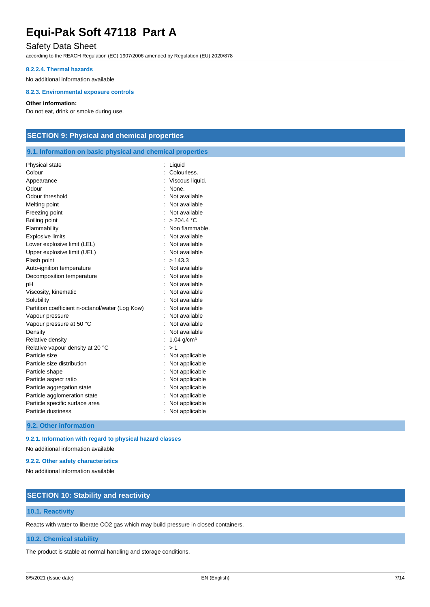## Safety Data Sheet

according to the REACH Regulation (EC) 1907/2006 amended by Regulation (EU) 2020/878

#### **8.2.2.4. Thermal hazards**

No additional information available

#### **8.2.3. Environmental exposure controls**

#### **Other information:**

Do not eat, drink or smoke during use.

### **SECTION 9: Physical and chemical properties**

#### **9.1. Information on basic physical and chemical properties**

| Physical state                                  | Liquid                   |
|-------------------------------------------------|--------------------------|
| Colour                                          | Colourless.              |
| Appearance                                      | Viscous liquid.          |
| Odour                                           | None.                    |
| Odour threshold                                 | Not available            |
| Melting point                                   | Not available            |
| Freezing point                                  | Not available            |
| Boiling point                                   | > 204.4 °C               |
| Flammability                                    | Non flammable.           |
| <b>Explosive limits</b>                         | Not available            |
| Lower explosive limit (LEL)                     | Not available            |
| Upper explosive limit (UEL)                     | Not available            |
| Flash point                                     | >143.3                   |
| Auto-ignition temperature                       | Not available            |
| Decomposition temperature                       | Not available            |
| pH                                              | Not available            |
| Viscosity, kinematic                            | Not available            |
| Solubility                                      | Not available            |
| Partition coefficient n-octanol/water (Log Kow) | Not available            |
| Vapour pressure                                 | Not available            |
| Vapour pressure at 50 °C                        | Not available            |
| Density                                         | Not available            |
| Relative density                                | $1.04$ g/cm <sup>3</sup> |
| Relative vapour density at 20 °C                | >1                       |
| Particle size                                   | Not applicable           |
| Particle size distribution                      | Not applicable           |
| Particle shape                                  | Not applicable           |
| Particle aspect ratio                           | Not applicable           |
| Particle aggregation state                      | Not applicable           |
| Particle agglomeration state                    | Not applicable           |
| Particle specific surface area                  | Not applicable           |
| Particle dustiness                              | Not applicable           |

### **9.2. Other information**

#### **9.2.1. Information with regard to physical hazard classes**

No additional information available

#### **9.2.2. Other safety characteristics**

No additional information available

## **SECTION 10: Stability and reactivity**

#### **10.1. Reactivity**

Reacts with water to liberate CO2 gas which may build pressure in closed containers.

### **10.2. Chemical stability**

The product is stable at normal handling and storage conditions.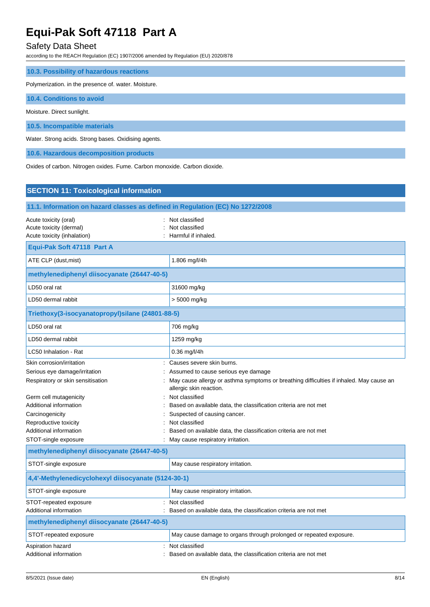# Safety Data Sheet

according to the REACH Regulation (EC) 1907/2006 amended by Regulation (EU) 2020/878

| 10.3. Possibility of hazardous reactions             |
|------------------------------------------------------|
| Polymerization. in the presence of. water. Moisture. |
| 10.4. Conditions to avoid                            |
| Moisture. Direct sunlight.                           |
| 10.5. Incompatible materials                         |
| Water. Strong acids. Strong bases. Oxidising agents. |
| 10.6. Hazardous decomposition products               |

Oxides of carbon. Nitrogen oxides. Fume. Carbon monoxide. Carbon dioxide.

| <b>SECTION 11: Toxicological information</b>                                                    |                                                                                                                                                                                        |  |  |
|-------------------------------------------------------------------------------------------------|----------------------------------------------------------------------------------------------------------------------------------------------------------------------------------------|--|--|
| 11.1. Information on hazard classes as defined in Regulation (EC) No 1272/2008                  |                                                                                                                                                                                        |  |  |
| Acute toxicity (oral)<br>Acute toxicity (dermal)<br>Acute toxicity (inhalation)                 | Not classified<br>Not classified<br>Harmful if inhaled.                                                                                                                                |  |  |
| Equi-Pak Soft 47118 Part A                                                                      |                                                                                                                                                                                        |  |  |
| 1.806 mg/l/4h<br>ATE CLP (dust, mist)                                                           |                                                                                                                                                                                        |  |  |
| methylenediphenyl diisocyanate (26447-40-5)                                                     |                                                                                                                                                                                        |  |  |
| LD50 oral rat                                                                                   | 31600 mg/kg                                                                                                                                                                            |  |  |
| LD50 dermal rabbit                                                                              | > 5000 mg/kg                                                                                                                                                                           |  |  |
| Triethoxy(3-isocyanatopropyl)silane (24801-88-5)                                                |                                                                                                                                                                                        |  |  |
| LD50 oral rat                                                                                   | 706 mg/kg                                                                                                                                                                              |  |  |
| LD50 dermal rabbit                                                                              | 1259 mg/kg                                                                                                                                                                             |  |  |
| LC50 Inhalation - Rat                                                                           | $0.36$ mg/l/4h                                                                                                                                                                         |  |  |
| Skin corrosion/irritation<br>Serious eye damage/irritation<br>Respiratory or skin sensitisation | Causes severe skin burns.<br>Assumed to cause serious eye damage<br>May cause allergy or asthma symptoms or breathing difficulties if inhaled. May cause an<br>allergic skin reaction. |  |  |
| Germ cell mutagenicity<br>Additional information<br>Carcinogenicity<br>Reproductive toxicity    | Not classified<br>Based on available data, the classification criteria are not met<br>Suspected of causing cancer.<br>Not classified                                                   |  |  |
| Additional information<br>STOT-single exposure                                                  | Based on available data, the classification criteria are not met<br>May cause respiratory irritation.                                                                                  |  |  |
| methylenediphenyl diisocyanate (26447-40-5)                                                     |                                                                                                                                                                                        |  |  |
| STOT-single exposure                                                                            | May cause respiratory irritation.                                                                                                                                                      |  |  |
| 4,4'-Methylenedicyclohexyl diisocyanate (5124-30-1)                                             |                                                                                                                                                                                        |  |  |
| STOT-single exposure                                                                            | May cause respiratory irritation.                                                                                                                                                      |  |  |
| STOT-repeated exposure<br>Additional information                                                | : Not classified<br>Based on available data, the classification criteria are not met                                                                                                   |  |  |
| methylenediphenyl diisocyanate (26447-40-5)                                                     |                                                                                                                                                                                        |  |  |
| STOT-repeated exposure                                                                          | May cause damage to organs through prolonged or repeated exposure.                                                                                                                     |  |  |
| Aspiration hazard<br>Additional information                                                     | Not classified<br>Based on available data, the classification criteria are not met                                                                                                     |  |  |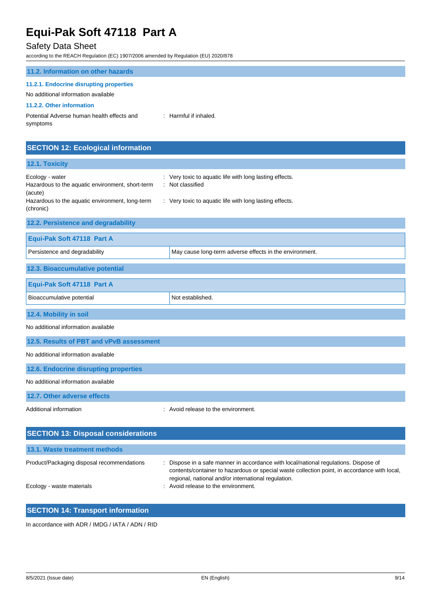# Safety Data Sheet

according to the REACH Regulation (EC) 1907/2006 amended by Regulation (EU) 2020/878

| : Harmful if inhaled. |
|-----------------------|
|                       |

# **SECTION 12: Ecological information**

| 12.1. Toxicity                                                                 |                                                                             |  |  |  |
|--------------------------------------------------------------------------------|-----------------------------------------------------------------------------|--|--|--|
| Ecology - water<br>Hazardous to the aquatic environment, short-term<br>(acute) | : Very toxic to aquatic life with long lasting effects.<br>: Not classified |  |  |  |
| Hazardous to the aquatic environment, long-term<br>(chronic)                   | : Very toxic to aquatic life with long lasting effects.                     |  |  |  |
| 12.2. Persistence and degradability                                            |                                                                             |  |  |  |
| Equi-Pak Soft 47118 Part A                                                     |                                                                             |  |  |  |
| Persistence and degradability                                                  | May cause long-term adverse effects in the environment.                     |  |  |  |
| 12.3. Bioaccumulative potential                                                |                                                                             |  |  |  |
| Equi-Pak Soft 47118 Part A                                                     |                                                                             |  |  |  |
| Bioaccumulative potential                                                      | Not established.                                                            |  |  |  |
| 12.4. Mobility in soil                                                         |                                                                             |  |  |  |
| No additional information available                                            |                                                                             |  |  |  |
| 12.5. Results of PBT and vPvB assessment                                       |                                                                             |  |  |  |
| No additional information available                                            |                                                                             |  |  |  |
| 12.6. Endocrine disrupting properties                                          |                                                                             |  |  |  |
| No additional information available                                            |                                                                             |  |  |  |
| 12.7. Other adverse effects                                                    |                                                                             |  |  |  |
| Additional information                                                         | Avoid release to the environment.                                           |  |  |  |
| <b>SECTION 13: Disposal considerations</b>                                     |                                                                             |  |  |  |

| 13.1. Waste treatment methods              |                                                                                                                                                                                                                                           |
|--------------------------------------------|-------------------------------------------------------------------------------------------------------------------------------------------------------------------------------------------------------------------------------------------|
| Product/Packaging disposal recommendations | Dispose in a safe manner in accordance with local/national regulations. Dispose of<br>contents/container to hazardous or special waste collection point, in accordance with local,<br>regional, national and/or international regulation. |
| Ecology - waste materials                  | : Avoid release to the environment.                                                                                                                                                                                                       |

### **SECTION 14: Transport information**

In accordance with ADR / IMDG / IATA / ADN / RID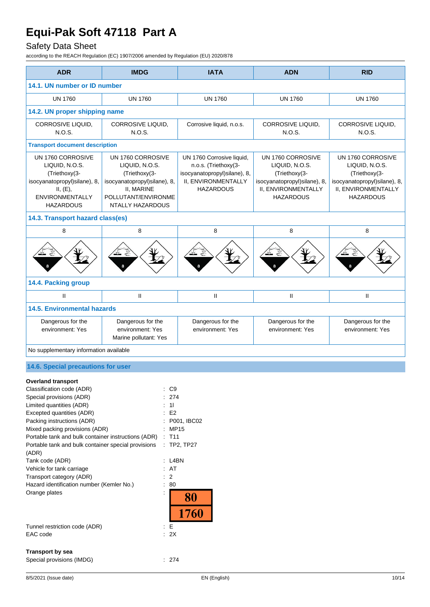# Safety Data Sheet

according to the REACH Regulation (EC) 1907/2006 amended by Regulation (EU) 2020/878

| <b>ADR</b>                                                                                                                                                                                                                                                                                                                                                                                                                                                                   | <b>IMDG</b>                                                                                                                                   | <b>IATA</b>                                                                                                                  | <b>ADN</b>                                                                                                                      | <b>RID</b>                                                                                                                      |  |
|------------------------------------------------------------------------------------------------------------------------------------------------------------------------------------------------------------------------------------------------------------------------------------------------------------------------------------------------------------------------------------------------------------------------------------------------------------------------------|-----------------------------------------------------------------------------------------------------------------------------------------------|------------------------------------------------------------------------------------------------------------------------------|---------------------------------------------------------------------------------------------------------------------------------|---------------------------------------------------------------------------------------------------------------------------------|--|
| 14.1. UN number or ID number                                                                                                                                                                                                                                                                                                                                                                                                                                                 |                                                                                                                                               |                                                                                                                              |                                                                                                                                 |                                                                                                                                 |  |
| <b>UN 1760</b>                                                                                                                                                                                                                                                                                                                                                                                                                                                               | <b>UN 1760</b>                                                                                                                                | <b>UN 1760</b>                                                                                                               | <b>UN 1760</b>                                                                                                                  | <b>UN 1760</b>                                                                                                                  |  |
| 14.2. UN proper shipping name                                                                                                                                                                                                                                                                                                                                                                                                                                                |                                                                                                                                               |                                                                                                                              |                                                                                                                                 |                                                                                                                                 |  |
| CORROSIVE LIQUID,<br>N.O.S.                                                                                                                                                                                                                                                                                                                                                                                                                                                  | <b>CORROSIVE LIQUID,</b><br>N.O.S.                                                                                                            | Corrosive liquid, n.o.s.                                                                                                     | CORROSIVE LIQUID,<br>N.O.S.                                                                                                     | CORROSIVE LIQUID,<br>N.O.S.                                                                                                     |  |
| <b>Transport document description</b>                                                                                                                                                                                                                                                                                                                                                                                                                                        |                                                                                                                                               |                                                                                                                              |                                                                                                                                 |                                                                                                                                 |  |
| UN 1760 CORROSIVE<br>LIQUID, N.O.S.<br>(Triethoxy(3-<br>isocyanatopropyl)silane), 8,<br>II, (E),<br><b>ENVIRONMENTALLY</b><br><b>HAZARDOUS</b>                                                                                                                                                                                                                                                                                                                               | UN 1760 CORROSIVE<br>LIQUID, N.O.S.<br>(Triethoxy(3-<br>isocyanatopropyl)silane), 8,<br>II, MARINE<br>POLLUTANT/ENVIRONME<br>NTALLY HAZARDOUS | UN 1760 Corrosive liquid,<br>n.o.s. (Triethoxy(3-<br>isocyanatopropyl)silane), 8,<br>II, ENVIRONMENTALLY<br><b>HAZARDOUS</b> | UN 1760 CORROSIVE<br>LIQUID, N.O.S.<br>(Triethoxy(3-<br>isocyanatopropyl)silane), 8,<br>II, ENVIRONMENTALLY<br><b>HAZARDOUS</b> | UN 1760 CORROSIVE<br>LIQUID, N.O.S.<br>(Triethoxy(3-<br>isocyanatopropyl)silane), 8,<br>II, ENVIRONMENTALLY<br><b>HAZARDOUS</b> |  |
| 14.3. Transport hazard class(es)                                                                                                                                                                                                                                                                                                                                                                                                                                             |                                                                                                                                               |                                                                                                                              |                                                                                                                                 |                                                                                                                                 |  |
| 8                                                                                                                                                                                                                                                                                                                                                                                                                                                                            | 8                                                                                                                                             | 8                                                                                                                            | 8                                                                                                                               | 8                                                                                                                               |  |
|                                                                                                                                                                                                                                                                                                                                                                                                                                                                              |                                                                                                                                               |                                                                                                                              |                                                                                                                                 |                                                                                                                                 |  |
| 14.4. Packing group                                                                                                                                                                                                                                                                                                                                                                                                                                                          |                                                                                                                                               |                                                                                                                              |                                                                                                                                 |                                                                                                                                 |  |
| $\mathbf{H}$                                                                                                                                                                                                                                                                                                                                                                                                                                                                 | $\mathsf{I}$                                                                                                                                  | $\mathsf{I}$                                                                                                                 | Ш                                                                                                                               | Ш                                                                                                                               |  |
| <b>14.5. Environmental hazards</b>                                                                                                                                                                                                                                                                                                                                                                                                                                           |                                                                                                                                               |                                                                                                                              |                                                                                                                                 |                                                                                                                                 |  |
| Dangerous for the<br>environment: Yes                                                                                                                                                                                                                                                                                                                                                                                                                                        | Dangerous for the<br>environment: Yes<br>Marine pollutant: Yes                                                                                | Dangerous for the<br>environment: Yes                                                                                        | Dangerous for the<br>environment: Yes                                                                                           | Dangerous for the<br>environment: Yes                                                                                           |  |
| No supplementary information available                                                                                                                                                                                                                                                                                                                                                                                                                                       |                                                                                                                                               |                                                                                                                              |                                                                                                                                 |                                                                                                                                 |  |
| 14.6. Special precautions for user                                                                                                                                                                                                                                                                                                                                                                                                                                           |                                                                                                                                               |                                                                                                                              |                                                                                                                                 |                                                                                                                                 |  |
| <b>Overland transport</b><br>Classification code (ADR)<br>Special provisions (ADR)<br>Limited quantities (ADR)<br>Excepted quantities (ADR)<br>Packing instructions (ADR)<br>Mixed packing provisions (ADR)<br>Portable tank and bulk container instructions (ADR)<br>Portable tank and bulk container special provisions<br>(ADR)<br>Tank code (ADR)<br>Vehicle for tank carriage<br>Transport category (ADR)<br>Hazard identification number (Kemler No.)<br>Orange plates | C <sub>9</sub><br>274<br>11<br>E <sub>2</sub><br><b>MP15</b><br>T <sub>11</sub><br>÷<br>÷<br>: L4BN<br>AT<br>2<br>80                          | P001, IBC02<br><b>TP2, TP27</b><br>80<br>1760                                                                                |                                                                                                                                 |                                                                                                                                 |  |
| Tunnel restriction code (ADR)<br>EAC code                                                                                                                                                                                                                                                                                                                                                                                                                                    | E<br>÷<br>: 2X                                                                                                                                |                                                                                                                              |                                                                                                                                 |                                                                                                                                 |  |

### **Transport by sea**

|  | Special provisions (IMDG) |  |
|--|---------------------------|--|
|  |                           |  |

 $\therefore$  274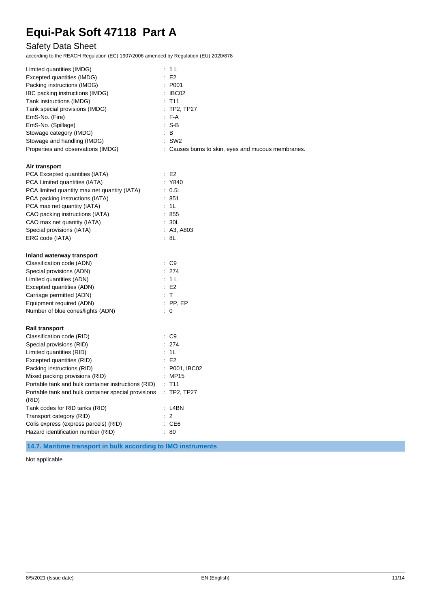# Safety Data Sheet

according to the REACH Regulation (EC) 1907/2006 amended by Regulation (EU) 2020/878

| Limited quantities (IMDG)                                    | : 1 L                                              |
|--------------------------------------------------------------|----------------------------------------------------|
| Excepted quantities (IMDG)                                   | E2                                                 |
| Packing instructions (IMDG)                                  | : P001                                             |
| IBC packing instructions (IMDG)                              | $\therefore$ IBC02                                 |
| Tank instructions (IMDG)                                     | T <sub>11</sub>                                    |
| Tank special provisions (IMDG)                               | TP2, TP27<br>$\ddot{\cdot}$                        |
| EmS-No. (Fire)                                               | $F - A$                                            |
| EmS-No. (Spillage)                                           | $: S-B$                                            |
| Stowage category (IMDG)                                      | $\therefore$ B                                     |
| Stowage and handling (IMDG)                                  | $:$ SW2                                            |
| Properties and observations (IMDG)                           | : Causes burns to skin, eyes and mucous membranes. |
| Air transport                                                |                                                    |
| PCA Excepted quantities (IATA)                               | E <sub>2</sub><br>t                                |
| PCA Limited quantities (IATA)                                | Y840                                               |
| PCA limited quantity max net quantity (IATA)                 | 0.5L                                               |
| PCA packing instructions (IATA)                              | : 851                                              |
| PCA max net quantity (IATA)                                  | : 1L                                               |
| CAO packing instructions (IATA)                              | : 855                                              |
| CAO max net quantity (IATA)                                  | 30L                                                |
| Special provisions (IATA)                                    | : A3, A803                                         |
| ERG code (IATA)                                              | : 8L                                               |
| Inland waterway transport                                    |                                                    |
| Classification code (ADN)                                    | $\therefore$ C9                                    |
| Special provisions (ADN)                                     | : 274                                              |
| Limited quantities (ADN)                                     | : 1L                                               |
| Excepted quantities (ADN)                                    | E2                                                 |
| Carriage permitted (ADN)                                     | $\cdot$ T                                          |
| Equipment required (ADN)                                     | $:$ PP, EP                                         |
| Number of blue cones/lights (ADN)                            | $\therefore$ 0                                     |
| <b>Rail transport</b>                                        |                                                    |
| Classification code (RID)                                    | $\therefore$ C9                                    |
| Special provisions (RID)                                     | : 274                                              |
| Limited quantities (RID)                                     | : 1L                                               |
| Excepted quantities (RID)                                    | E2                                                 |
| Packing instructions (RID)                                   | P001, IBC02                                        |
| Mixed packing provisions (RID)                               | MP15                                               |
| Portable tank and bulk container instructions (RID)          | $:$ T <sub>11</sub>                                |
| Portable tank and bulk container special provisions<br>(RID) | : TP2, TP27                                        |
| Tank codes for RID tanks (RID)                               | L4BN                                               |
| Transport category (RID)                                     | $\overline{2}$                                     |
| Colis express (express parcels) (RID)                        | CE6                                                |
| Hazard identification number (RID)                           | 80                                                 |

**14.7. Maritime transport in bulk according to IMO instruments**

Not applicable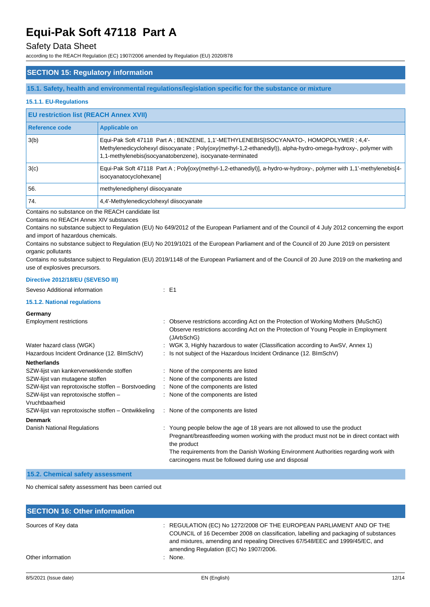## Safety Data Sheet

according to the REACH Regulation (EC) 1907/2006 amended by Regulation (EU) 2020/878

### **SECTION 15: Regulatory information**

**15.1. Safety, health and environmental regulations/legislation specific for the substance or mixture**

### **15.1.1. EU-Regulations**

### **EU restriction list (REACH Annex XVII)**

| Reference code | <b>Applicable on</b>                                                                                                                                                                                                                                                   |  |
|----------------|------------------------------------------------------------------------------------------------------------------------------------------------------------------------------------------------------------------------------------------------------------------------|--|
| 3(b)           | Equi-Pak Soft 47118 Part A; BENZENE, 1,1'-METHYLENEBIS[ISOCYANATO-, HOMOPOLYMER; 4,4'-<br>Methylenedicyclohexyl diisocyanate; Poly(oxy(methyl-1,2-ethanediyl)), alpha-hydro-omega-hydroxy-, polymer with<br>1,1-methylenebis(isocyanatobenzene), isocyanate-terminated |  |
| 3(c)           | Equi-Pak Soft 47118 Part A; Poly[oxy(methyl-1,2-ethanediyl)], a-hydro-w-hydroxy-, polymer with 1,1'-methylenebis[4-<br>isocyanatocyclohexane]                                                                                                                          |  |
| 56.            | methylenediphenyl diisocyanate                                                                                                                                                                                                                                         |  |
| 74.            | 4.4'-Methylenedicyclohexyl diisocyanate                                                                                                                                                                                                                                |  |

Contains no substance on the REACH candidate list

Contains no REACH Annex XIV substances

Contains no substance subject to Regulation (EU) No 649/2012 of the European Parliament and of the Council of 4 July 2012 concerning the export and import of hazardous chemicals.

Contains no substance subject to Regulation (EU) No 2019/1021 of the European Parliament and of the Council of 20 June 2019 on persistent organic pollutants

Contains no substance subject to Regulation (EU) 2019/1148 of the European Parliament and of the Council of 20 June 2019 on the marketing and use of explosives precursors.

#### **Directive 2012/18/EU (SEVESO III)**

| Seveso Additional information                           | $\therefore$ E1                                                                                                                                                                                                                                                                                                                        |
|---------------------------------------------------------|----------------------------------------------------------------------------------------------------------------------------------------------------------------------------------------------------------------------------------------------------------------------------------------------------------------------------------------|
| 15.1.2. National regulations                            |                                                                                                                                                                                                                                                                                                                                        |
| Germany                                                 |                                                                                                                                                                                                                                                                                                                                        |
| <b>Employment restrictions</b>                          | : Observe restrictions according Act on the Protection of Working Mothers (MuSchG)<br>Observe restrictions according Act on the Protection of Young People in Employment<br>(JArbSchG)                                                                                                                                                 |
| Water hazard class (WGK)                                | : WGK 3, Highly hazardous to water (Classification according to AwSV, Annex 1)                                                                                                                                                                                                                                                         |
| Hazardous Incident Ordinance (12. BImSchV)              | : Is not subject of the Hazardous Incident Ordinance (12. BImSchV)                                                                                                                                                                                                                                                                     |
| <b>Netherlands</b>                                      |                                                                                                                                                                                                                                                                                                                                        |
| SZW-lijst van kankerverwekkende stoffen                 | : None of the components are listed                                                                                                                                                                                                                                                                                                    |
| SZW-lijst van mutagene stoffen                          | : None of the components are listed                                                                                                                                                                                                                                                                                                    |
| SZW-lijst van reprotoxische stoffen - Borstvoeding      | : None of the components are listed                                                                                                                                                                                                                                                                                                    |
| SZW-lijst van reprotoxische stoffen -<br>Vruchtbaarheid | : None of the components are listed                                                                                                                                                                                                                                                                                                    |
| SZW-lijst van reprotoxische stoffen - Ontwikkeling      | : None of the components are listed                                                                                                                                                                                                                                                                                                    |
| <b>Denmark</b>                                          |                                                                                                                                                                                                                                                                                                                                        |
| Danish National Regulations                             | : Young people below the age of 18 years are not allowed to use the product<br>Pregnant/breastfeeding women working with the product must not be in direct contact with<br>the product<br>The requirements from the Danish Working Environment Authorities regarding work with<br>carcinogens must be followed during use and disposal |

### **15.2. Chemical safety assessment**

No chemical safety assessment has been carried out

| <b>SECTION 16: Other information</b> |                                                                                                                                                                                                                                                                                        |
|--------------------------------------|----------------------------------------------------------------------------------------------------------------------------------------------------------------------------------------------------------------------------------------------------------------------------------------|
| Sources of Key data                  | REGULATION (EC) No 1272/2008 OF THE EUROPEAN PARLIAMENT AND OF THE<br>COUNCIL of 16 December 2008 on classification, labelling and packaging of substances<br>and mixtures, amending and repealing Directives 67/548/EEC and 1999/45/EC, and<br>amending Regulation (EC) No 1907/2006. |
| Other information                    | : None.                                                                                                                                                                                                                                                                                |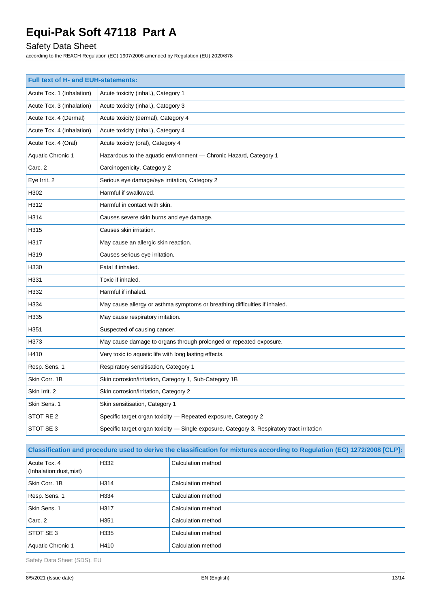# Safety Data Sheet

according to the REACH Regulation (EC) 1907/2006 amended by Regulation (EU) 2020/878

| <b>Full text of H- and EUH-statements:</b> |                                                                                            |  |
|--------------------------------------------|--------------------------------------------------------------------------------------------|--|
| Acute Tox. 1 (Inhalation)                  | Acute toxicity (inhal.), Category 1                                                        |  |
| Acute Tox. 3 (Inhalation)                  | Acute toxicity (inhal.), Category 3                                                        |  |
| Acute Tox. 4 (Dermal)                      | Acute toxicity (dermal), Category 4                                                        |  |
| Acute Tox. 4 (Inhalation)                  | Acute toxicity (inhal.), Category 4                                                        |  |
| Acute Tox. 4 (Oral)                        | Acute toxicity (oral), Category 4                                                          |  |
| <b>Aquatic Chronic 1</b>                   | Hazardous to the aquatic environment - Chronic Hazard, Category 1                          |  |
| Carc. 2                                    | Carcinogenicity, Category 2                                                                |  |
| Eye Irrit. 2                               | Serious eye damage/eye irritation, Category 2                                              |  |
| H302                                       | Harmful if swallowed.                                                                      |  |
| H312                                       | Harmful in contact with skin.                                                              |  |
| H314                                       | Causes severe skin burns and eye damage.                                                   |  |
| H315                                       | Causes skin irritation.                                                                    |  |
| H317                                       | May cause an allergic skin reaction.                                                       |  |
| H319                                       | Causes serious eye irritation.                                                             |  |
| H330                                       | Fatal if inhaled.                                                                          |  |
| H331                                       | Toxic if inhaled.                                                                          |  |
| H332                                       | Harmful if inhaled.                                                                        |  |
| H334                                       | May cause allergy or asthma symptoms or breathing difficulties if inhaled.                 |  |
| H335                                       | May cause respiratory irritation.                                                          |  |
| H351                                       | Suspected of causing cancer.                                                               |  |
| H373                                       | May cause damage to organs through prolonged or repeated exposure.                         |  |
| H410                                       | Very toxic to aquatic life with long lasting effects.                                      |  |
| Resp. Sens. 1                              | Respiratory sensitisation, Category 1                                                      |  |
| Skin Corr. 1B                              | Skin corrosion/irritation, Category 1, Sub-Category 1B                                     |  |
| Skin Irrit. 2                              | Skin corrosion/irritation, Category 2                                                      |  |
| Skin Sens. 1                               | Skin sensitisation, Category 1                                                             |  |
| STOT RE 2                                  | Specific target organ toxicity - Repeated exposure, Category 2                             |  |
| STOT SE 3                                  | Specific target organ toxicity - Single exposure, Category 3, Respiratory tract irritation |  |

**Classification and procedure used to derive the classification for mixtures according to Regulation (EC) 1272/2008 [CLP]:**

| Acute Tox, 4<br>(Inhalation:dust, mist) | H332 | Calculation method |
|-----------------------------------------|------|--------------------|
| Skin Corr, 1B                           | H314 | Calculation method |
| Resp. Sens. 1                           | H334 | Calculation method |
| Skin Sens, 1                            | H317 | Calculation method |
| Carc. 2                                 | H351 | Calculation method |
| STOT SE 3                               | H335 | Calculation method |
| Aquatic Chronic 1                       | H410 | Calculation method |

Safety Data Sheet (SDS), EU